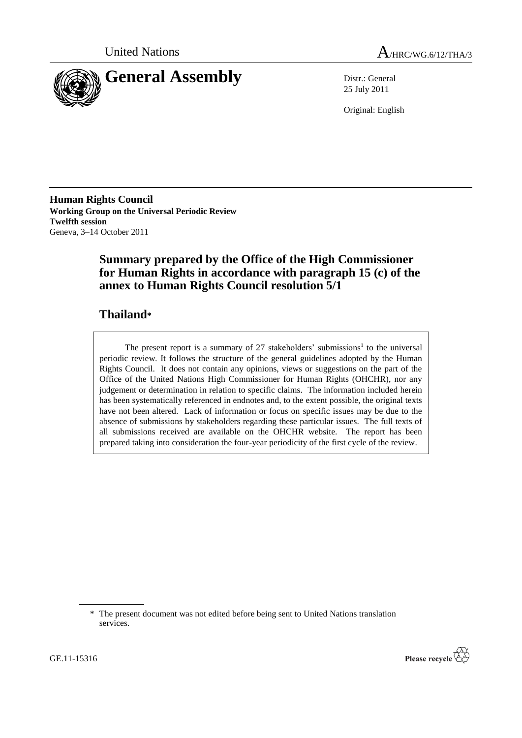



25 July 2011

Original: English

**Human Rights Council Working Group on the Universal Periodic Review Twelfth session** Geneva, 3–14 October 2011

# **Summary prepared by the Office of the High Commissioner for Human Rights in accordance with paragraph 15 (c) of the annex to Human Rights Council resolution 5/1**

# **Thailand\***

The present report is a summary of  $27$  stakeholders' submissions<sup>1</sup> to the universal periodic review. It follows the structure of the general guidelines adopted by the Human Rights Council. It does not contain any opinions, views or suggestions on the part of the Office of the United Nations High Commissioner for Human Rights (OHCHR), nor any judgement or determination in relation to specific claims. The information included herein has been systematically referenced in endnotes and, to the extent possible, the original texts have not been altered. Lack of information or focus on specific issues may be due to the absence of submissions by stakeholders regarding these particular issues. The full texts of all submissions received are available on the OHCHR website. The report has been prepared taking into consideration the four-year periodicity of the first cycle of the review.



<sup>\*</sup> The present document was not edited before being sent to United Nations translation services.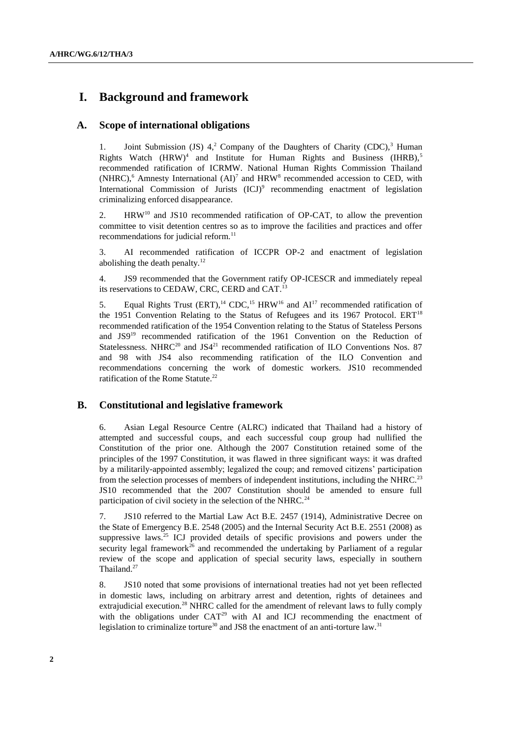## **I. Background and framework**

## **A. Scope of international obligations**

1. Joint Submission (JS)  $4,2$  Company of the Daughters of Charity (CDC),<sup>3</sup> Human Rights Watch  $(HRW)^4$  and Institute for Human Rights and Business  $(HRRB)$ ,<sup>5</sup> recommended ratification of ICRMW. National Human Rights Commission Thailand (NHRC),<sup>6</sup> Amnesty International  $(AI)^7$  and HRW<sup>8</sup> recommended accession to CED, with International Commission of Jurists (ICJ)<sup>9</sup> recommending enactment of legislation criminalizing enforced disappearance.

2. HRW<sup>10</sup> and JS10 recommended ratification of OP-CAT, to allow the prevention committee to visit detention centres so as to improve the facilities and practices and offer recommendations for judicial reform.<sup>11</sup>

3. AI recommended ratification of ICCPR OP-2 and enactment of legislation abolishing the death penalty. $12$ 

4. JS9 recommended that the Government ratify OP-ICESCR and immediately repeal its reservations to CEDAW, CRC, CERD and CAT.<sup>13</sup>

5. Equal Rights Trust  $(ERT)$ ,<sup>14</sup> CDC,<sup>15</sup> HRW<sup>16</sup> and  $AI<sup>17</sup>$  recommended ratification of the 1951 Convention Relating to the Status of Refugees and its 1967 Protocol. ERT<sup>18</sup> recommended ratification of the 1954 Convention relating to the Status of Stateless Persons and JS9<sup>19</sup> recommended ratification of the 1961 Convention on the Reduction of Statelessness. NHRC<sup>20</sup> and JS4<sup>21</sup> recommended ratification of ILO Conventions Nos. 87 and 98 with JS4 also recommending ratification of the ILO Convention and recommendations concerning the work of domestic workers. JS10 recommended ratification of the Rome Statute.<sup>22</sup>

## **B. Constitutional and legislative framework**

6. Asian Legal Resource Centre (ALRC) indicated that Thailand had a history of attempted and successful coups, and each successful coup group had nullified the Constitution of the prior one. Although the 2007 Constitution retained some of the principles of the 1997 Constitution, it was flawed in three significant ways: it was drafted by a militarily-appointed assembly; legalized the coup; and removed citizens' participation from the selection processes of members of independent institutions, including the NHRC.<sup>23</sup> JS10 recommended that the 2007 Constitution should be amended to ensure full participation of civil society in the selection of the NHRC.<sup>24</sup>

7. JS10 referred to the Martial Law Act B.E. 2457 (1914), Administrative Decree on the State of Emergency B.E. 2548 (2005) and the Internal Security Act B.E. 2551 (2008) as suppressive laws.<sup>25</sup> ICJ provided details of specific provisions and powers under the security legal framework<sup>26</sup> and recommended the undertaking by Parliament of a regular review of the scope and application of special security laws, especially in southern Thailand.<sup>27</sup>

8. JS10 noted that some provisions of international treaties had not yet been reflected in domestic laws, including on arbitrary arrest and detention, rights of detainees and extrajudicial execution.<sup>28</sup> NHRC called for the amendment of relevant laws to fully comply with the obligations under CAT<sup>29</sup> with AI and ICJ recommending the enactment of legislation to criminalize torture<sup>30</sup> and JS8 the enactment of an anti-torture law.<sup>31</sup>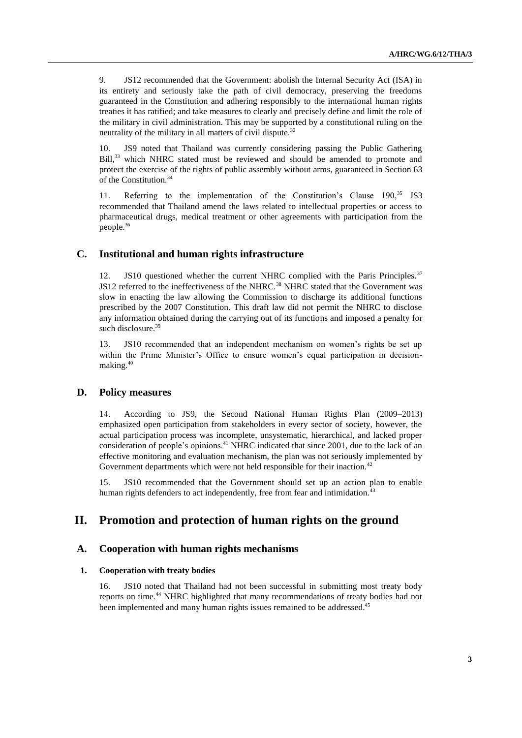9. JS12 recommended that the Government: abolish the Internal Security Act (ISA) in its entirety and seriously take the path of civil democracy, preserving the freedoms guaranteed in the Constitution and adhering responsibly to the international human rights treaties it has ratified; and take measures to clearly and precisely define and limit the role of the military in civil administration. This may be supported by a constitutional ruling on the neutrality of the military in all matters of civil dispute.<sup>32</sup>

10. JS9 noted that Thailand was currently considering passing the Public Gathering Bill,<sup>33</sup> which NHRC stated must be reviewed and should be amended to promote and protect the exercise of the rights of public assembly without arms, guaranteed in Section 63 of the Constitution.<sup>34</sup>

11. Referring to the implementation of the Constitution's Clause  $190$ ,  $35$  JS3 recommended that Thailand amend the laws related to intellectual properties or access to pharmaceutical drugs, medical treatment or other agreements with participation from the people.<sup>36</sup>

## **C. Institutional and human rights infrastructure**

12. JS10 questioned whether the current NHRC complied with the Paris Principles.<sup>37</sup> JS12 referred to the ineffectiveness of the NHRC.<sup>38</sup> NHRC stated that the Government was slow in enacting the law allowing the Commission to discharge its additional functions prescribed by the 2007 Constitution. This draft law did not permit the NHRC to disclose any information obtained during the carrying out of its functions and imposed a penalty for such disclosure.<sup>39</sup>

13. JS10 recommended that an independent mechanism on women's rights be set up within the Prime Minister's Office to ensure women's equal participation in decisionmaking.<sup>40</sup>

## **D. Policy measures**

14. According to JS9, the Second National Human Rights Plan (2009–2013) emphasized open participation from stakeholders in every sector of society, however, the actual participation process was incomplete, unsystematic, hierarchical, and lacked proper consideration of people's opinions.<sup>41</sup> NHRC indicated that since 2001, due to the lack of an effective monitoring and evaluation mechanism, the plan was not seriously implemented by Government departments which were not held responsible for their inaction.<sup>42</sup>

15. JS10 recommended that the Government should set up an action plan to enable human rights defenders to act independently, free from fear and intimidation.<sup>43</sup>

## **II. Promotion and protection of human rights on the ground**

### **A. Cooperation with human rights mechanisms**

### **1. Cooperation with treaty bodies**

16. JS10 noted that Thailand had not been successful in submitting most treaty body reports on time.<sup>44</sup> NHRC highlighted that many recommendations of treaty bodies had not been implemented and many human rights issues remained to be addressed.<sup>45</sup>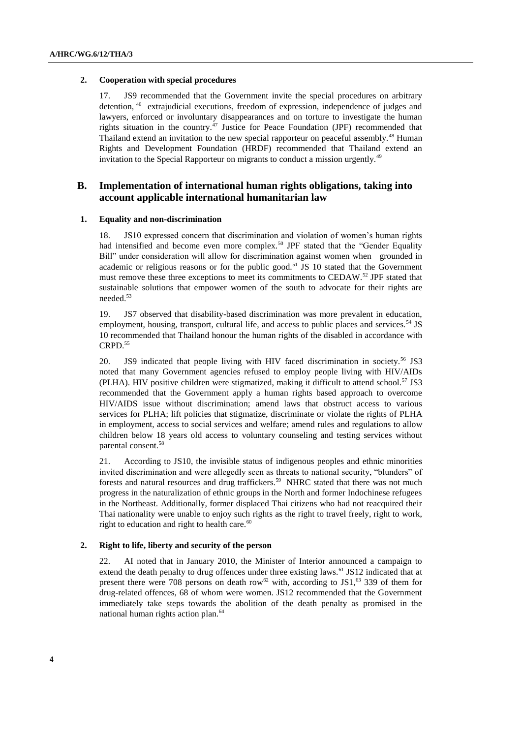#### **2. Cooperation with special procedures**

17. JS9 recommended that the Government invite the special procedures on arbitrary detention, <sup>46</sup> extrajudicial executions, freedom of expression, independence of judges and lawyers, enforced or involuntary disappearances and on torture to investigate the human rights situation in the country.<sup>47</sup> Justice for Peace Foundation (JPF) recommended that Thailand extend an invitation to the new special rapporteur on peaceful assembly.<sup>48</sup> Human Rights and Development Foundation (HRDF) recommended that Thailand extend an invitation to the Special Rapporteur on migrants to conduct a mission urgently.<sup>49</sup>

## **B. Implementation of international human rights obligations, taking into account applicable international humanitarian law**

#### **1. Equality and non-discrimination**

18. JS10 expressed concern that discrimination and violation of women's human rights had intensified and become even more complex.<sup>50</sup> JPF stated that the "Gender Equality Bill" under consideration will allow for discrimination against women when grounded in academic or religious reasons or for the public good.<sup>51</sup> JS 10 stated that the Government must remove these three exceptions to meet its commitments to CEDAW.<sup>52</sup> JPF stated that sustainable solutions that empower women of the south to advocate for their rights are needed.<sup>53</sup>

19. JS7 observed that disability-based discrimination was more prevalent in education, employment, housing, transport, cultural life, and access to public places and services.<sup>54</sup> JS 10 recommended that Thailand honour the human rights of the disabled in accordance with CRPD.<sup>55</sup>

20. JS9 indicated that people living with HIV faced discrimination in society.<sup>56</sup> JS3 noted that many Government agencies refused to employ people living with HIV/AIDs (PLHA). HIV positive children were stigmatized, making it difficult to attend school.<sup>57</sup> JS3 recommended that the Government apply a human rights based approach to overcome HIV/AIDS issue without discrimination; amend laws that obstruct access to various services for PLHA; lift policies that stigmatize, discriminate or violate the rights of PLHA in employment, access to social services and welfare; amend rules and regulations to allow children below 18 years old access to voluntary counseling and testing services without parental consent.<sup>58</sup>

21. According to JS10, the invisible status of indigenous peoples and ethnic minorities invited discrimination and were allegedly seen as threats to national security, "blunders" of forests and natural resources and drug traffickers.<sup>59</sup> NHRC stated that there was not much progress in the naturalization of ethnic groups in the North and former Indochinese refugees in the Northeast. Additionally, former displaced Thai citizens who had not reacquired their Thai nationality were unable to enjoy such rights as the right to travel freely, right to work, right to education and right to health care. $60$ 

#### **2. Right to life, liberty and security of the person**

22. AI noted that in January 2010, the Minister of Interior announced a campaign to extend the death penalty to drug offences under three existing laws.<sup>61</sup> JS12 indicated that at present there were 708 persons on death row<sup>62</sup> with, according to JS1,<sup>63</sup> 339 of them for drug-related offences, 68 of whom were women. JS12 recommended that the Government immediately take steps towards the abolition of the death penalty as promised in the national human rights action plan.<sup>64</sup>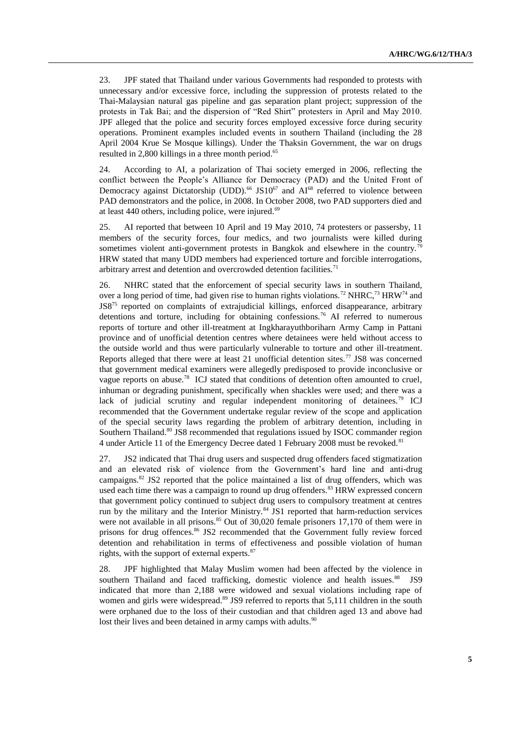23. JPF stated that Thailand under various Governments had responded to protests with unnecessary and/or excessive force, including the suppression of protests related to the Thai-Malaysian natural gas pipeline and gas separation plant project; suppression of the protests in Tak Bai; and the dispersion of "Red Shirt" protesters in April and May 2010. JPF alleged that the police and security forces employed excessive force during security operations. Prominent examples included events in southern Thailand (including the 28 April 2004 Krue Se Mosque killings). Under the Thaksin Government, the war on drugs resulted in 2,800 killings in a three month period.<sup>65</sup>

24. According to AI, a polarization of Thai society emerged in 2006, reflecting the conflict between the People's Alliance for Democracy (PAD) and the United Front of Democracy against Dictatorship (UDD).<sup>66</sup> JS10<sup>67</sup> and  $AI^{68}$  referred to violence between PAD demonstrators and the police, in 2008. In October 2008, two PAD supporters died and at least  $440$  others, including police, were injured.<sup>69</sup>

25. AI reported that between 10 April and 19 May 2010, 74 protesters or passersby, 11 members of the security forces, four medics, and two journalists were killed during sometimes violent anti-government protests in Bangkok and elsewhere in the country.<sup>70</sup> HRW stated that many UDD members had experienced torture and forcible interrogations, arbitrary arrest and detention and overcrowded detention facilities.<sup>71</sup>

26. NHRC stated that the enforcement of special security laws in southern Thailand, over a long period of time, had given rise to human rights violations.<sup>72</sup> NHRC,<sup>73</sup> HRW<sup>74</sup> and JS8<sup>75</sup> reported on complaints of extrajudicial killings, enforced disappearance, arbitrary detentions and torture, including for obtaining confessions.<sup>76</sup> AI referred to numerous reports of torture and other ill-treatment at Ingkharayuthboriharn Army Camp in Pattani province and of unofficial detention centres where detainees were held without access to the outside world and thus were particularly vulnerable to torture and other ill-treatment. Reports alleged that there were at least 21 unofficial detention sites.<sup>77</sup> JS8 was concerned that government medical examiners were allegedly predisposed to provide inconclusive or vague reports on abuse.<sup>78</sup> ICJ stated that conditions of detention often amounted to cruel, inhuman or degrading punishment, specifically when shackles were used; and there was a lack of judicial scrutiny and regular independent monitoring of detainees.<sup>79</sup> ICJ recommended that the Government undertake regular review of the scope and application of the special security laws regarding the problem of arbitrary detention, including in Southern Thailand.<sup>80</sup> JS8 recommended that regulations issued by ISOC commander region 4 under Article 11 of the Emergency Decree dated 1 February 2008 must be revoked.<sup>81</sup>

27. JS2 indicated that Thai drug users and suspected drug offenders faced stigmatization and an elevated risk of violence from the Government's hard line and anti-drug campaigns.<sup>82</sup> JS2 reported that the police maintained a list of drug offenders, which was used each time there was a campaign to round up drug offenders.<sup>83</sup> HRW expressed concern that government policy continued to subject drug users to compulsory treatment at centres run by the military and the Interior Ministry.<sup>84</sup> JS1 reported that harm-reduction services were not available in all prisons.<sup>85</sup> Out of 30,020 female prisoners 17,170 of them were in prisons for drug offences.<sup>86</sup> JS2 recommended that the Government fully review forced detention and rehabilitation in terms of effectiveness and possible violation of human rights, with the support of external experts.<sup>87</sup>

28. JPF highlighted that Malay Muslim women had been affected by the violence in southern Thailand and faced trafficking, domestic violence and health issues.<sup>88</sup> JS9 indicated that more than 2,188 were widowed and sexual violations including rape of women and girls were widespread.<sup>89</sup> JS9 referred to reports that 5,111 children in the south were orphaned due to the loss of their custodian and that children aged 13 and above had lost their lives and been detained in army camps with adults. $90$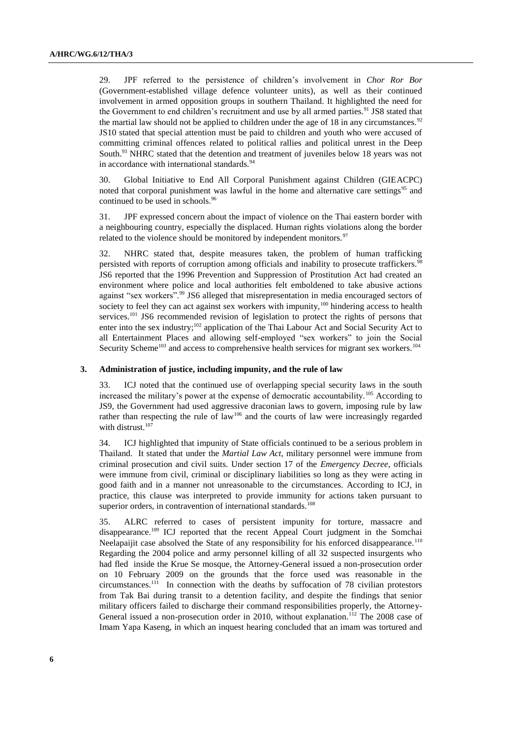29. JPF referred to the persistence of children's involvement in *Chor Ror Bor*  (Government-established village defence volunteer units), as well as their continued involvement in armed opposition groups in southern Thailand. It highlighted the need for the Government to end children's recruitment and use by all armed parties.<sup>91</sup> JS8 stated that the martial law should not be applied to children under the age of 18 in any circumstances.<sup>92</sup> JS10 stated that special attention must be paid to children and youth who were accused of committing criminal offences related to political rallies and political unrest in the Deep South.<sup>93</sup> NHRC stated that the detention and treatment of juveniles below 18 years was not in accordance with international standards.<sup>94</sup>

30. Global Initiative to End All Corporal Punishment against Children (GIEACPC) noted that corporal punishment was lawful in the home and alternative care settings<sup>95</sup> and continued to be used in schools.<sup>96</sup>

31. JPF expressed concern about the impact of violence on the Thai eastern border with a neighbouring country, especially the displaced. Human rights violations along the border related to the violence should be monitored by independent monitors.  $\frac{97}{100}$ 

NHRC stated that, despite measures taken, the problem of human trafficking persisted with reports of corruption among officials and inability to prosecute traffickers.<sup>98</sup> JS6 reported that the 1996 Prevention and Suppression of Prostitution Act had created an environment where police and local authorities felt emboldened to take abusive actions against "sex workers".<sup>99</sup> JS6 alleged that misrepresentation in media encouraged sectors of society to feel they can act against sex workers with impunity,<sup>100</sup> hindering access to health services.<sup>101</sup> JS6 recommended revision of legislation to protect the rights of persons that enter into the sex industry;<sup>102</sup> application of the Thai Labour Act and Social Security Act to all Entertainment Places and allowing self-employed "sex workers" to join the Social Security Scheme<sup>103</sup> and access to comprehensive health services for migrant sex workers.<sup>104</sup>

#### **3. Administration of justice, including impunity, and the rule of law**

33. ICJ noted that the continued use of overlapping special security laws in the south increased the military's power at the expense of democratic accountability.<sup>105</sup> According to JS9, the Government had used aggressive draconian laws to govern, imposing rule by law rather than respecting the rule of law<sup>106</sup> and the courts of law were increasingly regarded with distrust.<sup>107</sup>

34. ICJ highlighted that impunity of State officials continued to be a serious problem in Thailand. It stated that under the *Martial Law Act*, military personnel were immune from criminal prosecution and civil suits. Under section 17 of the *Emergency Decree*, officials were immune from civil, criminal or disciplinary liabilities so long as they were acting in good faith and in a manner not unreasonable to the circumstances. According to ICJ, in practice, this clause was interpreted to provide immunity for actions taken pursuant to superior orders, in contravention of international standards.<sup>108</sup>

35. ALRC referred to cases of persistent impunity for torture, massacre and disappearance.<sup>109</sup> ICJ reported that the recent Appeal Court judgment in the Somchai Neelapaijit case absolved the State of any responsibility for his enforced disappearance.<sup>110</sup> Regarding the 2004 police and army personnel killing of all 32 suspected insurgents who had fled inside the Krue Se mosque, the Attorney-General issued a non-prosecution order on 10 February 2009 on the grounds that the force used was reasonable in the circumstances.<sup>111</sup> In connection with the deaths by suffocation of 78 civilian protestors from Tak Bai during transit to a detention facility, and despite the findings that senior military officers failed to discharge their command responsibilities properly, the Attorney-General issued a non-prosecution order in 2010, without explanation.<sup>112</sup> The 2008 case of Imam Yapa Kaseng, in which an inquest hearing concluded that an imam was tortured and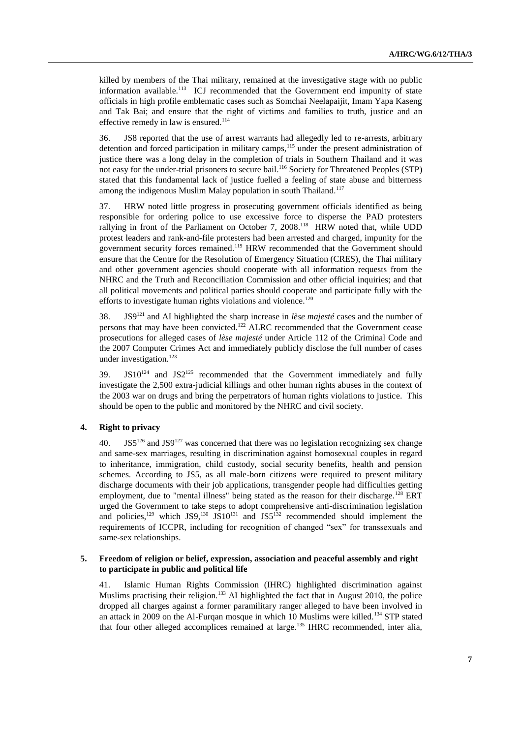killed by members of the Thai military, remained at the investigative stage with no public information available.<sup>113</sup> ICJ recommended that the Government end impunity of state officials in high profile emblematic cases such as Somchai Neelapaijit, Imam Yapa Kaseng and Tak Bai; and ensure that the right of victims and families to truth, justice and an effective remedy in law is ensured.<sup>114</sup>

36. JS8 reported that the use of arrest warrants had allegedly led to re-arrests, arbitrary detention and forced participation in military camps,<sup>115</sup> under the present administration of justice there was a long delay in the completion of trials in Southern Thailand and it was not easy for the under-trial prisoners to secure bail.<sup>116</sup> Society for Threatened Peoples (STP) stated that this fundamental lack of justice fuelled a feeling of state abuse and bitterness among the indigenous Muslim Malay population in south Thailand.<sup>117</sup>

37. HRW noted little progress in prosecuting government officials identified as being responsible for ordering police to use excessive force to disperse the PAD protesters rallying in front of the Parliament on October 7,  $2008$ .<sup>118</sup> HRW noted that, while UDD protest leaders and rank-and-file protesters had been arrested and charged, impunity for the government security forces remained.<sup>119</sup> HRW recommended that the Government should ensure that the Centre for the Resolution of Emergency Situation (CRES), the Thai military and other government agencies should cooperate with all information requests from the NHRC and the Truth and Reconciliation Commission and other official inquiries; and that all political movements and political parties should cooperate and participate fully with the efforts to investigate human rights violations and violence.<sup>120</sup>

38. JS9<sup>121</sup> and AI highlighted the sharp increase in *lèse majesté* cases and the number of persons that may have been convicted.<sup>122</sup> ALRC recommended that the Government cease prosecutions for alleged cases of *lèse majesté* under Article 112 of the Criminal Code and the 2007 Computer Crimes Act and immediately publicly disclose the full number of cases under investigation.<sup>123</sup>

39.  $JS10^{124}$  and  $JS2^{125}$  recommended that the Government immediately and fully investigate the 2,500 extra-judicial killings and other human rights abuses in the context of the 2003 war on drugs and bring the perpetrators of human rights violations to justice. This should be open to the public and monitored by the NHRC and civil society.

### **4. Right to privacy**

40. JS5<sup>126</sup> and JS9<sup>127</sup> was concerned that there was no legislation recognizing sex change and same-sex marriages, resulting in discrimination against homosexual couples in regard to inheritance, immigration, child custody, social security benefits, health and pension schemes. According to JS5, as all male-born citizens were required to present military discharge documents with their job applications, transgender people had difficulties getting employment, due to "mental illness" being stated as the reason for their discharge.<sup>128</sup> ERT urged the Government to take steps to adopt comprehensive anti-discrimination legislation and policies,<sup>129</sup> which JS9,<sup>130</sup> JS10<sup>131</sup> and JS5<sup>132</sup> recommended should implement the requirements of ICCPR, including for recognition of changed "sex" for transsexuals and same-sex relationships.

#### **5. Freedom of religion or belief, expression, association and peaceful assembly and right to participate in public and political life**

41. Islamic Human Rights Commission (IHRC) highlighted discrimination against Muslims practising their religion.<sup>133</sup> AI highlighted the fact that in August 2010, the police dropped all charges against a former paramilitary ranger alleged to have been involved in an attack in 2009 on the Al-Furqan mosque in which 10 Muslims were killed.<sup>134</sup> STP stated that four other alleged accomplices remained at large.<sup>135</sup> IHRC recommended, inter alia,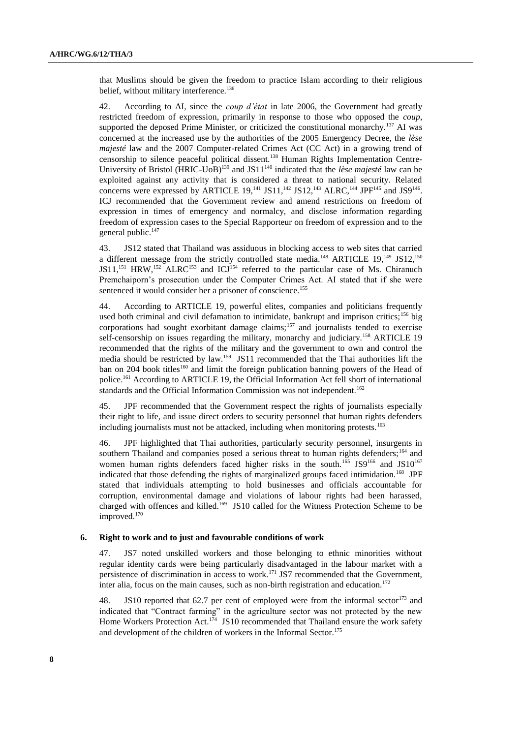that Muslims should be given the freedom to practice Islam according to their religious belief, without military interference.<sup>136</sup>

42. According to AI, since the *coup d'état* in late 2006, the Government had greatly restricted freedom of expression, primarily in response to those who opposed the *coup*, supported the deposed Prime Minister, or criticized the constitutional monarchy.<sup>137</sup> AI was concerned at the increased use by the authorities of the 2005 Emergency Decree, the *lèse majesté* law and the 2007 Computer-related Crimes Act (CC Act) in a growing trend of censorship to silence peaceful political dissent.<sup>138</sup> Human Rights Implementation Centre-University of Bristol (HRIC-UoB)<sup>139</sup> and JS11<sup>140</sup> indicated that the *lèse majesté* law can be exploited against any activity that is considered a threat to national security. Related concerns were expressed by ARTICLE 19,<sup>141</sup> JS11,<sup>142</sup> JS12,<sup>143</sup> ALRC,<sup>144</sup> JPF<sup>145</sup> and JS9<sup>146</sup>. ICJ recommended that the Government review and amend restrictions on freedom of expression in times of emergency and normalcy, and disclose information regarding freedom of expression cases to the Special Rapporteur on freedom of expression and to the general public.<sup>147</sup>

43. JS12 stated that Thailand was assiduous in blocking access to web sites that carried a different message from the strictly controlled state media.<sup>148</sup> ARTICLE  $19,^{149}$  JS12,<sup>150</sup>  $JSI1$ ,<sup>151</sup> HRW,<sup>152</sup> ALRC<sup>153</sup> and ICJ<sup>154</sup> referred to the particular case of Ms. Chiranuch Premchaiporn's prosecution under the Computer Crimes Act. AI stated that if she were sentenced it would consider her a prisoner of conscience.<sup>155</sup>

44. According to ARTICLE 19, powerful elites, companies and politicians frequently used both criminal and civil defamation to intimidate, bankrupt and imprison critics;<sup>156</sup> big corporations had sought exorbitant damage claims;<sup>157</sup> and journalists tended to exercise self-censorship on issues regarding the military, monarchy and judiciary.<sup>158</sup> ARTICLE 19 recommended that the rights of the military and the government to own and control the media should be restricted by law.<sup>159</sup> JS11 recommended that the Thai authorities lift the ban on 204 book titles<sup>160</sup> and limit the foreign publication banning powers of the Head of police.<sup>161</sup> According to ARTICLE 19, the Official Information Act fell short of international standards and the Official Information Commission was not independent.<sup>162</sup>

45. JPF recommended that the Government respect the rights of journalists especially their right to life, and issue direct orders to security personnel that human rights defenders including journalists must not be attacked, including when monitoring protests.<sup>163</sup>

46. JPF highlighted that Thai authorities, particularly security personnel, insurgents in southern Thailand and companies posed a serious threat to human rights defenders;<sup>164</sup> and women human rights defenders faced higher risks in the south.<sup>165</sup> JS9<sup>166</sup> and JS10<sup>167</sup> indicated that those defending the rights of marginalized groups faced intimidation.<sup>168</sup> JPF stated that individuals attempting to hold businesses and officials accountable for corruption, environmental damage and violations of labour rights had been harassed, charged with offences and killed.<sup>169</sup> JS10 called for the Witness Protection Scheme to be improved.<sup>170</sup>

#### **6. Right to work and to just and favourable conditions of work**

47. JS7 noted unskilled workers and those belonging to ethnic minorities without regular identity cards were being particularly disadvantaged in the labour market with a persistence of discrimination in access to work.<sup>171</sup> JS7 recommended that the Government, inter alia, focus on the main causes, such as non-birth registration and education.<sup>172</sup>

48. JS10 reported that  $62.7$  per cent of employed were from the informal sector<sup>173</sup> and indicated that "Contract farming" in the agriculture sector was not protected by the new Home Workers Protection Act.<sup>174</sup> JS10 recommended that Thailand ensure the work safety and development of the children of workers in the Informal Sector.<sup>175</sup>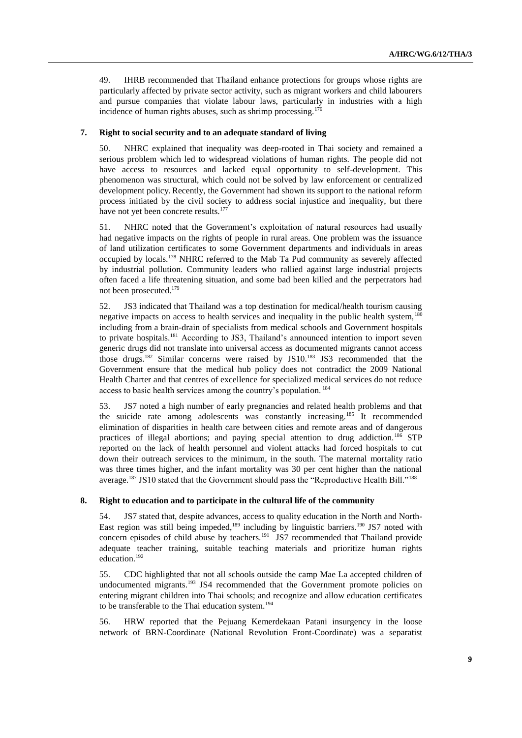49. IHRB recommended that Thailand enhance protections for groups whose rights are particularly affected by private sector activity, such as migrant workers and child labourers and pursue companies that violate labour laws, particularly in industries with a high incidence of human rights abuses, such as shrimp processing.<sup>176</sup>

#### **7. Right to social security and to an adequate standard of living**

50. NHRC explained that inequality was deep-rooted in Thai society and remained a serious problem which led to widespread violations of human rights. The people did not have access to resources and lacked equal opportunity to self-development. This phenomenon was structural, which could not be solved by law enforcement or centralized development policy. Recently, the Government had shown its support to the national reform process initiated by the civil society to address social injustice and inequality, but there have not yet been concrete results.<sup>177</sup>

51. NHRC noted that the Government's exploitation of natural resources had usually had negative impacts on the rights of people in rural areas. One problem was the issuance of land utilization certificates to some Government departments and individuals in areas occupied by locals.<sup>178</sup> NHRC referred to the Mab Ta Pud community as severely affected by industrial pollution. Community leaders who rallied against large industrial projects often faced a life threatening situation, and some bad been killed and the perpetrators had not been prosecuted.<sup>179</sup>

52. JS3 indicated that Thailand was a top destination for medical/health tourism causing negative impacts on access to health services and inequality in the public health system,  $180$ including from a brain-drain of specialists from medical schools and Government hospitals to private hospitals.<sup>181</sup> According to JS3, Thailand's announced intention to import seven generic drugs did not translate into universal access as documented migrants cannot access those drugs.<sup>182</sup> Similar concerns were raised by JS10.<sup>183</sup> JS3 recommended that the Government ensure that the medical hub policy does not contradict the 2009 National Health Charter and that centres of excellence for specialized medical services do not reduce access to basic health services among the country's population.<sup>184</sup>

53. JS7 noted a high number of early pregnancies and related health problems and that the suicide rate among adolescents was constantly increasing.<sup>185</sup> It recommended elimination of disparities in health care between cities and remote areas and of dangerous practices of illegal abortions; and paying special attention to drug addiction.<sup>186</sup> STP reported on the lack of health personnel and violent attacks had forced hospitals to cut down their outreach services to the minimum, in the south. The maternal mortality ratio was three times higher, and the infant mortality was 30 per cent higher than the national average.<sup>187</sup> JS10 stated that the Government should pass the "Reproductive Health Bill."<sup>188</sup>

#### **8. Right to education and to participate in the cultural life of the community**

54. JS7 stated that, despite advances, access to quality education in the North and North-East region was still being impeded,<sup>189</sup> including by linguistic barriers.<sup>190</sup> JS7 noted with concern episodes of child abuse by teachers.<sup>191</sup> JS7 recommended that Thailand provide adequate teacher training, suitable teaching materials and prioritize human rights education.<sup>192</sup>

55. CDC highlighted that not all schools outside the camp Mae La accepted children of undocumented migrants.<sup>193</sup> JS4 recommended that the Government promote policies on entering migrant children into Thai schools; and recognize and allow education certificates to be transferable to the Thai education system.<sup>194</sup>

56. HRW reported that the Pejuang Kemerdekaan Patani insurgency in the loose network of BRN-Coordinate (National Revolution Front-Coordinate) was a separatist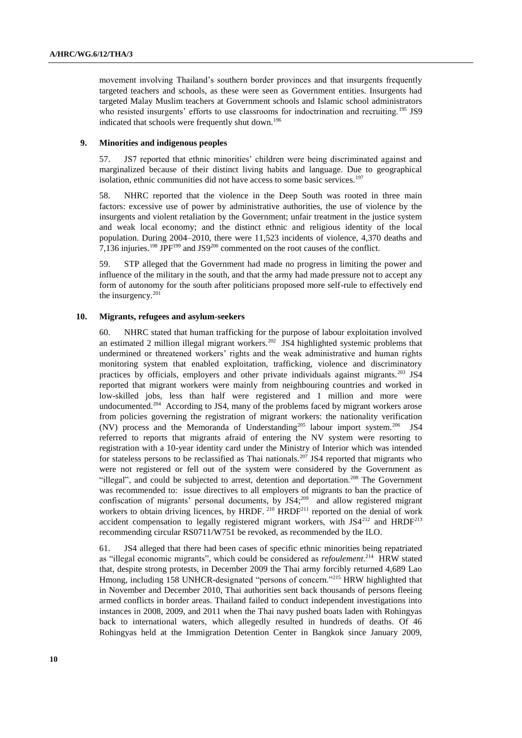movement involving Thailand's southern border provinces and that insurgents frequently targeted teachers and schools, as these were seen as Government entities. Insurgents had targeted Malay Muslim teachers at Government schools and Islamic school administrators who resisted insurgents' efforts to use classrooms for indoctrination and recruiting.<sup>195</sup> JS9 indicated that schools were frequently shut down.<sup>196</sup>

### **9. Minorities and indigenous peoples**

57. JS7 reported that ethnic minorities' children were being discriminated against and marginalized because of their distinct living habits and language. Due to geographical isolation, ethnic communities did not have access to some basic services.<sup>197</sup>

58. NHRC reported that the violence in the Deep South was rooted in three main factors: excessive use of power by administrative authorities, the use of violence by the insurgents and violent retaliation by the Government; unfair treatment in the justice system and weak local economy; and the distinct ethnic and religious identity of the local population. During 2004–2010, there were 11,523 incidents of violence, 4,370 deaths and 7,136 injuries.<sup>198</sup> JPF<sup>199</sup> and JS9<sup>200</sup> commented on the root causes of the conflict.

59. STP alleged that the Government had made no progress in limiting the power and influence of the military in the south, and that the army had made pressure not to accept any form of autonomy for the south after politicians proposed more self-rule to effectively end the insurgency. 201

#### **10. Migrants, refugees and asylum-seekers**

60. NHRC stated that human trafficking for the purpose of labour exploitation involved an estimated 2 million illegal migrant workers.<sup>202</sup> JS4 highlighted systemic problems that undermined or threatened workers' rights and the weak administrative and human rights monitoring system that enabled exploitation, trafficking, violence and discriminatory practices by officials, employers and other private individuals against migrants.<sup>203</sup> JS4 reported that migrant workers were mainly from neighbouring countries and worked in low-skilled jobs, less than half were registered and 1 million and more were undocumented.<sup>204</sup> According to JS4, many of the problems faced by migrant workers arose from policies governing the registration of migrant workers: the nationality verification (NV) process and the Memoranda of Understanding<sup>205</sup> labour import system.<sup>206</sup> JS4 referred to reports that migrants afraid of entering the NV system were resorting to registration with a 10-year identity card under the Ministry of Interior which was intended for stateless persons to be reclassified as Thai nationals.<sup>207</sup> JS4 reported that migrants who were not registered or fell out of the system were considered by the Government as "illegal", and could be subjected to arrest, detention and deportation.<sup>208</sup> The Government was recommended to: issue directives to all employers of migrants to ban the practice of confiscation of migrants' personal documents, by  $JS4$ ;<sup>209</sup> and allow registered migrant workers to obtain driving licences, by HRDF.<sup>210</sup> HRDF<sup>211</sup> reported on the denial of work accident compensation to legally registered migrant workers, with  $JS4^{212}$  and  $HRDF^{213}$ recommending circular RS0711/W751 be revoked, as recommended by the ILO.

61. JS4 alleged that there had been cases of specific ethnic minorities being repatriated as "illegal economic migrants", which could be considered as *refoulement*.<sup>214</sup> HRW stated that, despite strong protests, in December 2009 the Thai army forcibly returned 4,689 Lao Hmong, including 158 UNHCR-designated "persons of concern."<sup>215</sup> HRW highlighted that in November and December 2010, Thai authorities sent back thousands of persons fleeing armed conflicts in border areas. Thailand failed to conduct independent investigations into instances in 2008, 2009, and 2011 when the Thai navy pushed boats laden with Rohingyas back to international waters, which allegedly resulted in hundreds of deaths. Of 46 Rohingyas held at the Immigration Detention Center in Bangkok since January 2009,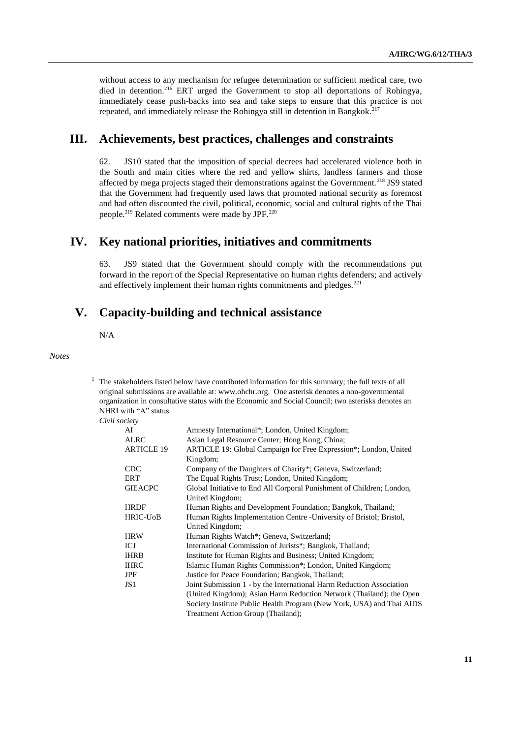without access to any mechanism for refugee determination or sufficient medical care, two died in detention.<sup>216</sup> ERT urged the Government to stop all deportations of Rohingya, immediately cease push-backs into sea and take steps to ensure that this practice is not repeated, and immediately release the Rohingya still in detention in Bangkok.<sup>217</sup>

## **III. Achievements, best practices, challenges and constraints**

62. JS10 stated that the imposition of special decrees had accelerated violence both in the South and main cities where the red and yellow shirts, landless farmers and those affected by mega projects staged their demonstrations against the Government.<sup>218</sup> JS9 stated that the Government had frequently used laws that promoted national security as foremost and had often discounted the civil, political, economic, social and cultural rights of the Thai people.<sup>219</sup> Related comments were made by JPF.<sup>220</sup>

## **IV. Key national priorities, initiatives and commitments**

63. JS9 stated that the Government should comply with the recommendations put forward in the report of the Special Representative on human rights defenders; and actively and effectively implement their human rights commitments and pledges.<sup>221</sup>

## **V. Capacity-building and technical assistance**

N/A

*Notes*

 $1$  The stakeholders listed below have contributed information for this summary; the full texts of all original submissions are available at: [www.ohchr.org.](http://www.ohchr.org/) One asterisk denotes a non-governmental organization in consultative status with the Economic and Social Council; two asterisks denotes an NHRI with "A" status.

*Civil society*

| AI                | Amnesty International*; London, United Kingdom;                       |
|-------------------|-----------------------------------------------------------------------|
| <b>ALRC</b>       | Asian Legal Resource Center; Hong Kong, China;                        |
| <b>ARTICLE 19</b> | ARTICLE 19: Global Campaign for Free Expression*; London, United      |
|                   | Kingdom;                                                              |
| <b>CDC</b>        | Company of the Daughters of Charity*; Geneva, Switzerland;            |
| ERT               | The Equal Rights Trust; London, United Kingdom;                       |
| <b>GIEACPC</b>    | Global Initiative to End All Corporal Punishment of Children; London, |
|                   | United Kingdom;                                                       |
| <b>HRDF</b>       | Human Rights and Development Foundation; Bangkok, Thailand;           |
| <b>HRIC-UoB</b>   | Human Rights Implementation Centre - University of Bristol; Bristol,  |
|                   | United Kingdom;                                                       |
| <b>HRW</b>        | Human Rights Watch*; Geneva, Switzerland;                             |
| ICJ               | International Commission of Jurists*; Bangkok, Thailand;              |
| <b>IHRB</b>       | Institute for Human Rights and Business; United Kingdom;              |
| <b>IHRC</b>       | Islamic Human Rights Commission*; London, United Kingdom;             |
| <b>JPF</b>        | Justice for Peace Foundation; Bangkok, Thailand;                      |
| JS <sub>1</sub>   | Joint Submission 1 - by the International Harm Reduction Association  |
|                   | (United Kingdom); Asian Harm Reduction Network (Thailand); the Open   |
|                   | Society Institute Public Health Program (New York, USA) and Thai AIDS |
|                   | Treatment Action Group (Thailand);                                    |
|                   |                                                                       |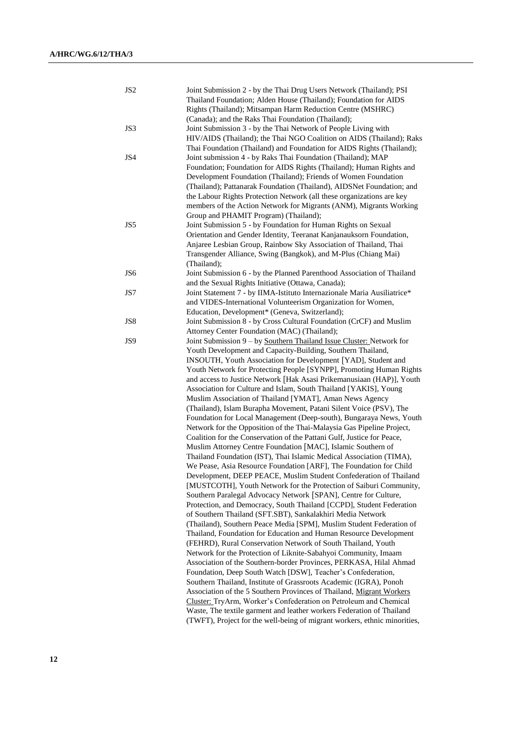| JS <sub>2</sub> | Joint Submission 2 - by the Thai Drug Users Network (Thailand); PSI       |
|-----------------|---------------------------------------------------------------------------|
|                 | Thailand Foundation; Alden House (Thailand); Foundation for AIDS          |
|                 | Rights (Thailand); Mitsampan Harm Reduction Centre (MSHRC)                |
|                 | (Canada); and the Raks Thai Foundation (Thailand);                        |
| JS3             | Joint Submission 3 - by the Thai Network of People Living with            |
|                 | HIV/AIDS (Thailand); the Thai NGO Coalition on AIDS (Thailand); Raks      |
|                 | Thai Foundation (Thailand) and Foundation for AIDS Rights (Thailand);     |
| JS4             | Joint submission 4 - by Raks Thai Foundation (Thailand); MAP              |
|                 | Foundation; Foundation for AIDS Rights (Thailand); Human Rights and       |
|                 | Development Foundation (Thailand); Friends of Women Foundation            |
|                 | (Thailand); Pattanarak Foundation (Thailand), AIDSNet Foundation; and     |
|                 | the Labour Rights Protection Network (all these organizations are key     |
|                 | members of the Action Network for Migrants (ANM), Migrants Working        |
|                 | Group and PHAMIT Program) (Thailand);                                     |
| JS5             | Joint Submission 5 - by Foundation for Human Rights on Sexual             |
|                 | Orientation and Gender Identity, Teeranat Kanjanauksorn Foundation,       |
|                 | Anjaree Lesbian Group, Rainbow Sky Association of Thailand, Thai          |
|                 | Transgender Alliance, Swing (Bangkok), and M-Plus (Chiang Mai)            |
|                 | (Thailand);                                                               |
| JS6             | Joint Submission 6 - by the Planned Parenthood Association of Thailand    |
|                 | and the Sexual Rights Initiative (Ottawa, Canada);                        |
| JS7             | Joint Statement 7 - by IIMA-Istituto Internazionale Maria Ausiliatrice*   |
|                 | and VIDES-International Volunteerism Organization for Women,              |
|                 | Education, Development* (Geneva, Switzerland);                            |
| JS8             | Joint Submission 8 - by Cross Cultural Foundation (CrCF) and Muslim       |
|                 | Attorney Center Foundation (MAC) (Thailand);                              |
| JS9             | Joint Submission 9 - by Southern Thailand Issue Cluster: Network for      |
|                 | Youth Development and Capacity-Building, Southern Thailand,               |
|                 | INSOUTH, Youth Association for Development [YAD], Student and             |
|                 | Youth Network for Protecting People [SYNPP], Promoting Human Rights       |
|                 | and access to Justice Network [Hak Asasi Prikemanusiaan (HAP)], Youth     |
|                 | Association for Culture and Islam, South Thailand [YAKIS], Young          |
|                 | Muslim Association of Thailand [YMAT], Aman News Agency                   |
|                 | (Thailand), Islam Burapha Movement, Patani Silent Voice (PSV), The        |
|                 | Foundation for Local Management (Deep-south), Bungaraya News, Youth       |
|                 | Network for the Opposition of the Thai-Malaysia Gas Pipeline Project,     |
|                 | Coalition for the Conservation of the Pattani Gulf, Justice for Peace,    |
|                 | Muslim Attorney Centre Foundation [MAC], Islamic Southern of              |
|                 | Thailand Foundation (IST), Thai Islamic Medical Association (TIMA),       |
|                 | We Pease, Asia Resource Foundation [ARF], The Foundation for Child        |
|                 | Development, DEEP PEACE, Muslim Student Confederation of Thailand         |
|                 | [MUSTCOTH], Youth Network for the Protection of Saiburi Community,        |
|                 | Southern Paralegal Advocacy Network [SPAN], Centre for Culture,           |
|                 | Protection, and Democracy, South Thailand [CCPD], Student Federation      |
|                 | of Southern Thailand (SFT.SBT), Sankalakhiri Media Network                |
|                 | (Thailand), Southern Peace Media [SPM], Muslim Student Federation of      |
|                 | Thailand, Foundation for Education and Human Resource Development         |
|                 | (FEHRD), Rural Conservation Network of South Thailand, Youth              |
|                 | Network for the Protection of Liknite-Sabahyoi Community, Imaam           |
|                 | Association of the Southern-border Provinces, PERKASA, Hilal Ahmad        |
|                 | Foundation, Deep South Watch [DSW], Teacher's Confederation,              |
|                 | Southern Thailand, Institute of Grassroots Academic (IGRA), Ponoh         |
|                 | Association of the 5 Southern Provinces of Thailand, Migrant Workers      |
|                 | Cluster: TryArm, Worker's Confederation on Petroleum and Chemical         |
|                 | Waste, The textile garment and leather workers Federation of Thailand     |
|                 | (TWFT), Project for the well-being of migrant workers, ethnic minorities, |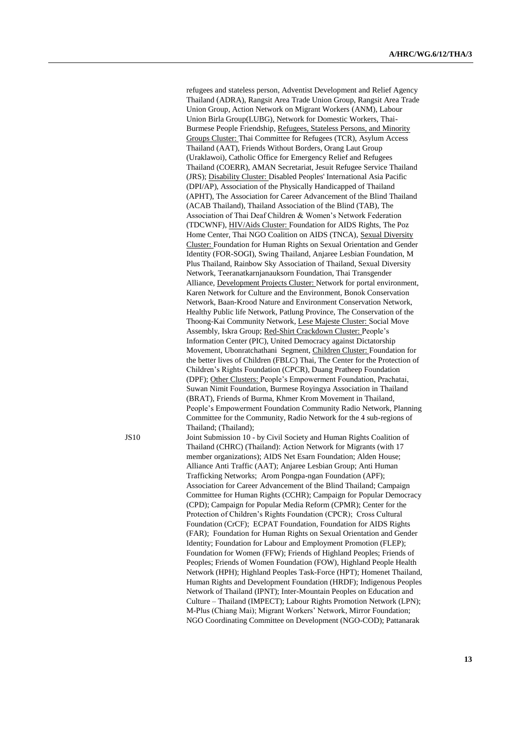refugees and stateless person, Adventist Development and Relief Agency Thailand (ADRA), Rangsit Area Trade Union Group, Rangsit Area Trade Union Group, Action Network on Migrant Workers (ANM), Labour Union Birla Group(LUBG), Network for Domestic Workers, Thai-Burmese People Friendship, Refugees, Stateless Persons, and Minority Groups Cluster: Thai Committee for Refugees (TCR), Asylum Access Thailand (AAT), Friends Without Borders, Orang Laut Group (Uraklawoi), Catholic Office for Emergency Relief and Refugees Thailand (COERR), AMAN Secretariat, Jesuit Refugee Service Thailand (JRS); Disability Cluster: Disabled Peoples' International Asia Pacific (DPI/AP), Association of the Physically Handicapped of Thailand (APHT), The Association for Career Advancement of the Blind Thailand (ACAB Thailand), Thailand Association of the Blind (TAB), The Association of Thai Deaf Children & Women's Network Federation (TDCWNF), HIV/Aids Cluster: Foundation for AIDS Rights, The Poz Home Center, Thai NGO Coalition on AIDS (TNCA), Sexual Diversity Cluster: Foundation for Human Rights on Sexual Orientation and Gender Identity (FOR-SOGI), Swing Thailand, Anjaree Lesbian Foundation, M Plus Thailand, Rainbow Sky Association of Thailand, Sexual Diversity Network, Teeranatkarnjanauksorn Foundation, Thai Transgender Alliance, Development Projects Cluster: Network for portal environment, Karen Network for Culture and the Environment, Bonok Conservation Network, Baan-Krood Nature and Environment Conservation Network, Healthy Public life Network, Patlung Province, The Conservation of the Thoong-Kai Community Network, Lese Majeste Cluster: Social Move Assembly, Iskra Group; Red-Shirt Crackdown Cluster: People's Information Center (PIC), United Democracy against Dictatorship Movement, Ubonratchathani Segment, Children Cluster: Foundation for the better lives of Children (FBLC) Thai, The Center for the Protection of Children's Rights Foundation (CPCR), Duang Pratheep Foundation (DPF); Other Clusters: People's Empowerment Foundation, Prachatai, Suwan Nimit Foundation, Burmese Royingya Association in Thailand (BRAT), Friends of Burma, Khmer Krom Movement in Thailand, People's Empowerment Foundation Community Radio Network, Planning Committee for the Community, Radio Network for the 4 sub-regions of Thailand; (Thailand); JS10 Joint Submission 10 - by Civil Society and Human Rights Coalition of Thailand (CHRC) (Thailand): Action Network for Migrants (with 17 member organizations); AIDS Net Esarn Foundation; Alden House; Alliance Anti Traffic (AAT); Anjaree Lesbian Group; Anti Human Trafficking Networks; Arom Pongpa-ngan Foundation (APF); Association for Career Advancement of the Blind Thailand; Campaign Committee for Human Rights (CCHR); Campaign for Popular Democracy (CPD); Campaign for Popular Media Reform (CPMR); Center for the Protection of Children's Rights Foundation (CPCR); Cross Cultural Foundation (CrCF); ECPAT Foundation, Foundation for AIDS Rights

(FAR); Foundation for Human Rights on Sexual Orientation and Gender Identity; Foundation for Labour and Employment Promotion (FLEP); Foundation for Women (FFW); Friends of Highland Peoples; Friends of Peoples; Friends of Women Foundation (FOW), Highland People Health Network (HPH); Highland Peoples Task-Force (HPT); Homenet Thailand, Human Rights and Development Foundation (HRDF); Indigenous Peoples Network of Thailand (IPNT); Inter-Mountain Peoples on Education and Culture – Thailand (IMPECT); Labour Rights Promotion Network (LPN); M-Plus (Chiang Mai); Migrant Workers' Network, Mirror Foundation; NGO Coordinating Committee on Development (NGO-COD); Pattanarak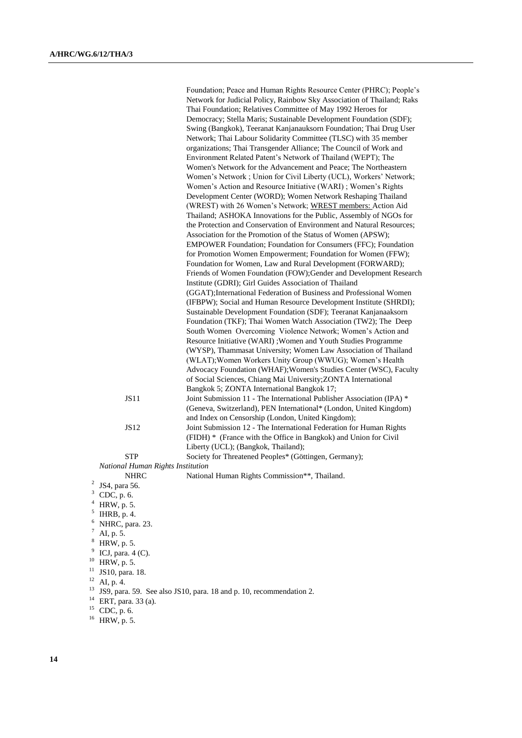Foundation; Peace and Human Rights Resource Center (PHRC); People's Network for Judicial Policy, Rainbow Sky Association of Thailand; Raks Thai Foundation; Relatives Committee of May 1992 Heroes for Democracy; Stella Maris; Sustainable Development Foundation (SDF); Swing (Bangkok), Teeranat Kanjanauksorn Foundation; Thai Drug User Network; Thai Labour Solidarity Committee (TLSC) with 35 member organizations; Thai Transgender Alliance; The Council of Work and Environment Related Patent's Network of Thailand (WEPT); The Women's Network for the Advancement and Peace; The Northeastern Women's Network ; Union for Civil Liberty (UCL), Workers' Network; Women's Action and Resource Initiative (WARI) ; Women's Rights Development Center (WORD); Women Network Reshaping Thailand (WREST) with 26 Women's Network; WREST members: Action Aid Thailand; ASHOKA Innovations for the Public, Assembly of NGOs for the Protection and Conservation of Environment and Natural Resources; Association for the Promotion of the Status of Women (APSW); EMPOWER Foundation; Foundation for Consumers (FFC); Foundation for Promotion Women Empowerment; Foundation for Women (FFW); Foundation for Women, Law and Rural Development (FORWARD); Friends of Women Foundation (FOW);Gender and Development Research Institute (GDRI); Girl Guides Association of Thailand (GGAT);International Federation of Business and Professional Women (IFBPW); Social and Human Resource Development Institute (SHRDI); Sustainable Development Foundation (SDF); Teeranat Kanjanaaksorn Foundation (TKF); Thai Women Watch Association (TW2); The Deep South Women Overcoming Violence Network; Women's Action and Resource Initiative (WARI) ;Women and Youth Studies Programme (WYSP), Thammasat University; Women Law Association of Thailand (WLAT);Women Workers Unity Group (WWUG); Women's Health Advocacy Foundation (WHAF);Women's Studies Center (WSC), Faculty of Social Sciences, Chiang Mai University;ZONTA International Bangkok 5; ZONTA International Bangkok 17; JS11 Joint Submission 11 - The International Publisher Association (IPA) \* (Geneva, Switzerland), PEN International\* (London, United Kingdom) and Index on Censorship (London, United Kingdom); JS12 Joint Submission 12 - The International Federation for Human Rights (FIDH) \* (France with the Office in Bangkok) and Union for Civil Liberty (UCL); (Bangkok, Thailand); STP Society for Threatened Peoples\* (Göttingen, Germany);

*National Human Rights Institution*

2 JS4, para 56.

- $3$  CDC, p. 6.
- <sup>4</sup> HRW, p. 5.

 $<sup>5</sup>$  IHRB, p. 4.</sup>

- $6$  NHRC, para. 23.
- AI, p. 5.
- HRW, p. 5.

- 
- <sup>10</sup> HRW, p. 5.

AI, p. 4.

<sup>13</sup> JS9, para. 59. See also JS10, para. 18 and p. 10, recommendation 2.

<sup>14</sup> ERT, para. 33 (a).

 $15$  CDC, p. 6.

NHRC National Human Rights Commission\*\*, Thailand.

<sup>9</sup> ICJ, para.  $4$  (C).

 $^{11}$  JS10, para. 18.

<sup>16</sup> HRW, p. 5.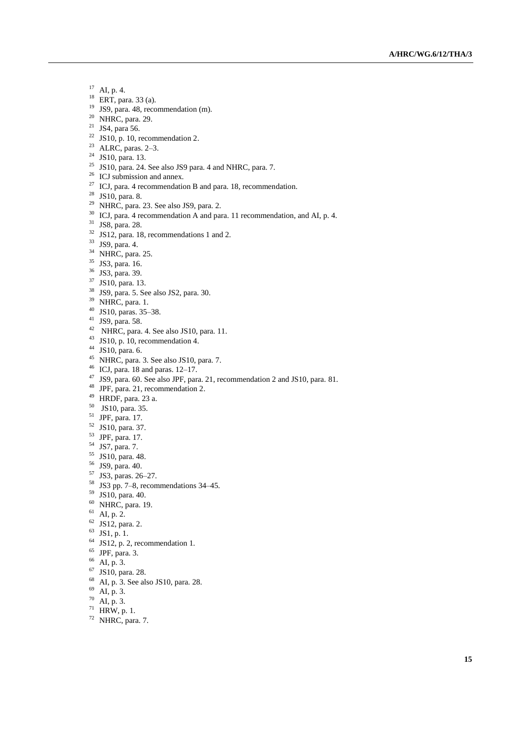- AI, p. 4.
- ERT, para. 33 (a).
- JS9, para. 48, recommendation (m).
- <sup>20</sup> NHRC, para. 29.
- <sup>21</sup> JS4, para 56.
- <sup>22</sup> JS10, p. 10, recommendation 2.
- ALRC, paras. 2–3.
- <sup>24</sup> JS10, para. 13.
- JS10, para. 24. See also JS9 para. 4 and NHRC, para. 7.
- ICJ submission and annex.
- <sup>27</sup> ICJ, para. 4 recommendation B and para. 18, recommendation.
- JS10, para. 8.
- NHRC, para. 23. See also JS9, para. 2.
- <sup>30</sup> ICJ, para. 4 recommendation A and para. 11 recommendation, and AI, p. 4.
- JS8, para. 28.
- JS12, para. 18, recommendations 1 and 2.
- JS9, para. 4.
- <sup>34</sup> NHRC, para. 25.
- <sup>35</sup> JS3, para. 16.
- JS3, para. 39.
- JS10, para. 13.
- JS9, para. 5. See also JS2, para. 30.
- <sup>39</sup> NHRC, para. 1.
- JS10, paras. 35–38.
- JS9, para. 58.
- NHRC, para. 4. See also JS10, para. 11.
- <sup>43</sup> JS10, p. 10, recommendation 4.
- JS10, para. 6.
- NHRC, para. 3. See also JS10, para. 7.
- ICJ, para. 18 and paras. 12–17.
- JS9, para. 60. See also JPF, para. 21, recommendation 2 and JS10, para. 81.
- JPF, para. 21, recommendation 2.
- HRDF, para. 23 a.
- JS10, para. 35.
- JPF, para. 17.
- JS10, para. 37.
- JPF, para. 17.
- JS7, para. 7.
- JS10, para. 48.
- JS9, para. 40.
- JS3, paras. 26–27.
- JS3 pp. 7–8, recommendations 34–45.
- JS10, para. 40.
- NHRC, para. 19.
- AI, p. 2.
- JS12, para. 2.
- JS1, p. 1.
- 
- JS12, p. 2, recommendation 1. JPF, para. 3.
- 
- AI, p. 3.
- JS10, para. 28.
- AI, p. 3. See also JS10, para. 28.
- AI, p. 3.
- AI, p. 3.
- HRW, p. 1.
- NHRC, para. 7.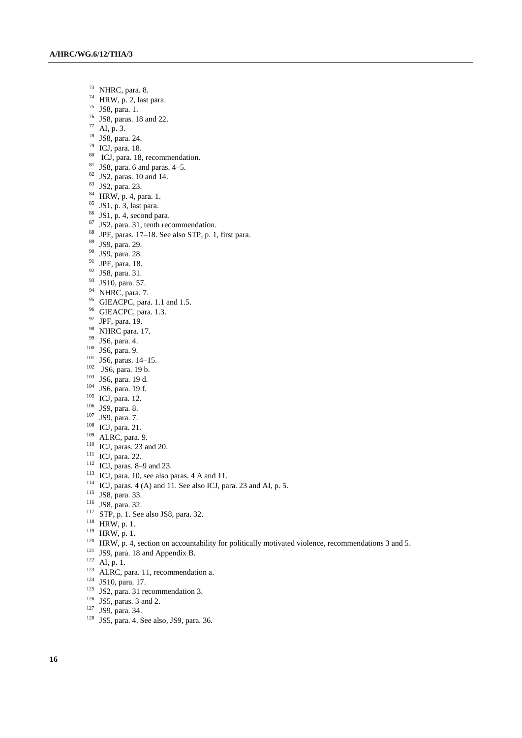- $^{73}$  NHRC, para. 8.<br> $^{74}$  HRW n 2 last
- HRW, p. 2, last para.
- JS8, para. 1.
- $^{76}$  JS8, paras. 18 and 22.
- AI, p. 3.
- JS8, para. 24.
- ICJ, para. 18.
- 80 ICJ, para. 18, recommendation.
- JS8, para. 6 and paras. 4–5.
- JS2, paras. 10 and 14.
- JS2, para. 23.
- HRW, p. 4, para. 1.
- JS1, p. 3, last para.
- JS1, p. 4, second para.
- JS2, para. 31, tenth recommendation.
- JPF, paras. 17–18. See also STP, p. 1, first para.
- JS9, para. 29.
- JS9, para. 28.
- JPF, para. 18.
- JS8, para. 31.
- JS10, para. 57.
- <sup>94</sup> NHRC, para. 7.
- <sup>95</sup> GIEACPC, para. 1.1 and 1.5.
- GIEACPC, para. 1.3.
- JPF, para. 19.
- <sup>98</sup> NHRC para. 17.
- JS6, para. 4.
- JS6, para. 9.
- JS6, paras. 14–15.
- $102 \text{ JSG}, \text{para}. 19 \text{ b}.$
- JS6, para. 19 d.
- JS6, para. 19 f.
- ICJ, para. 12.
- JS9, para. 8.
- JS9, para. 7.
- ICJ, para. 21.
- ALRC, para. 9.
- ICJ, paras. 23 and 20.
- <sup>111</sup> ICJ, para. 22.
- ICJ, paras. 8–9 and 23.
- 
- ICJ, para. 10, see also paras. 4 A and 11.
- <sup>114</sup> ICJ, paras. 4 (A) and 11. See also ICJ, para. 23 and AI, p. 5.
- <sup>115</sup> JS8, para. 33.
- JS8, para. 32.
- <sup>117</sup> STP, p. 1. See also JS8, para. 32.
- HRW, p. 1.
- HRW, p. 1.
- <sup>120</sup> HRW, p. 4, section on accountability for politically motivated violence, recommendations 3 and 5.
- <sup>121</sup> JS9, para. 18 and Appendix B.
- AI, p. 1.
- ALRC, para. 11, recommendation a.
- JS10, para. 17.
- JS2, para. 31 recommendation 3.
- JS5, paras. 3 and 2.
- JS9, para. 34.
- JS5, para. 4. See also, JS9, para. 36.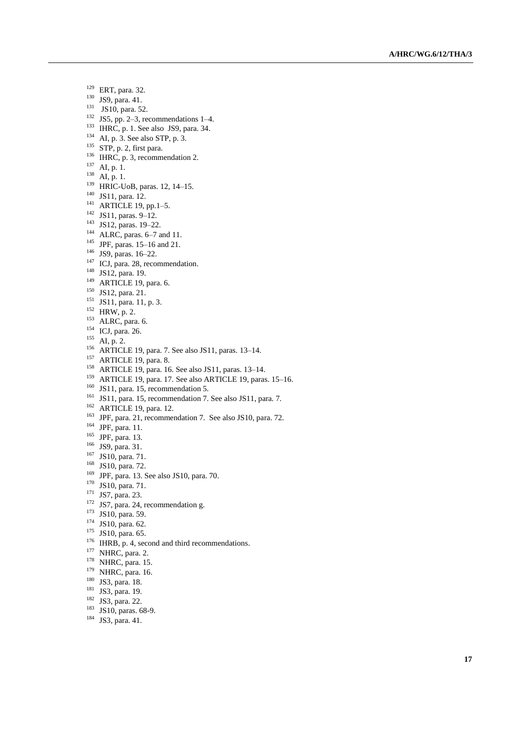- <sup>129</sup> ERT, para. 32.
- <sup>130</sup> JS9, para. 41.
- <sup>131</sup> JS10, para. 52.
- $132$  JS5, pp. 2–3, recommendations 1–4.
- $133$  IHRC, p. 1. See also JS9, para. 34.
- $134$  AI, p. 3. See also STP, p. 3.
- $135$  STP, p. 2, first para.
- <sup>136</sup> IHRC, p. 3, recommendation 2.
- $^{137}$  AI, p. 1.
- $^{138}$  AI, p. 1.
- <sup>139</sup> HRIC-UoB, paras. 12, 14–15.
- <sup>140</sup> JS11, para. 12.
- <sup>141</sup> ARTICLE 19, pp.1 –5.
- <sup>142</sup> JS11, paras. 9 –12.
- <sup>143</sup> JS12, paras. 19–22.
- $144$  ALRC, paras. 6–7 and 11.
- <sup>145</sup> JPF, paras. 15 –16 and 21.
- <sup>146</sup> JS9, paras. 16 –22.
- <sup>147</sup> ICJ, para. 28, recommendation.
- <sup>148</sup> JS12, para. 19.
- <sup>149</sup> ARTICLE 19, para. 6.
- <sup>150</sup> JS12, para. 21.
- <sup>151</sup> JS11, para. 11, p. 3.
- $152$  HRW, p. 2.
- <sup>153</sup> ALRC, para. 6.
- <sup>154</sup> ICJ, para. 26.
- $^{155}$  AI, p. 2.
- <sup>156</sup> ARTICLE 19, para. 7. See also JS11, paras. 13 –14.
- <sup>157</sup> ARTICLE 19, para. 8.
- <sup>158</sup> ARTICLE 19, para. 16. See also JS11, paras. 13 –14.
- <sup>159</sup> ARTICLE 19, para. 17. See also ARTICLE 19, paras. 15-16.
- $160$  JS11, para. 15, recommendation 5.
- <sup>161</sup> JS11, para. 15, recommendation 7. See also JS11, para. 7.
- <sup>162</sup> ARTICLE 19, para. 12.
- <sup>163</sup> JPF, para. 21, recommendation 7. See also JS10, para. 72.
- <sup>164</sup> JPF, para. 11.
- <sup>165</sup> JPF, para. 13.
- <sup>166</sup> JS9, para. 31.
- <sup>167</sup> JS10, para. 71.
- <sup>168</sup> JS10, para. 72.
- $169$  JPF, para. 13. See also JS10, para. 70.
- <sup>170</sup> JS10, para. 71.
- <sup>171</sup> JS7, para. 23.
- <sup>172</sup> JS7, para. 24, recommendation g.
- <sup>173</sup> JS10, para. 59.
- <sup>174</sup> JS10, para. 62.
- <sup>175</sup> JS10, para. 65.
- <sup>176</sup> IHRB, p. 4, second and third recommendations.
- $177$  NHRC, para. 2.
- <sup>178</sup> NHRC, para. 15.
- <sup>179</sup> NHRC, para. 16.
- <sup>180</sup> JS3, para. 18.
- <sup>181</sup> JS3, para. 19.
- <sup>182</sup> JS3, para. 22.
- 
- <sup>183</sup> JS10, paras. 68-9.
- <sup>184</sup> JS3, para. 41.